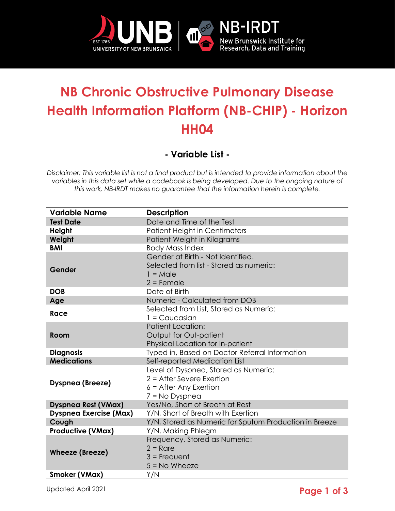

## **NB Chronic Obstructive Pulmonary Disease Health Information Platform (NB-CHIP) - Horizon HH04**

**- Variable List -**

*Disclaimer: This variable list is not a final product but is intended to provide information about the variables in this data set while a codebook is being developed. Due to the ongoing nature of this work, NB-IRDT makes no guarantee that the information herein is complete.* 

| <b>Variable Name</b>          | <b>Description</b>                                     |
|-------------------------------|--------------------------------------------------------|
| <b>Test Date</b>              | Date and Time of the Test                              |
| <b>Height</b>                 | Patient Height in Centimeters                          |
| Weight                        | Patient Weight in Kilograms                            |
| <b>BMI</b>                    | <b>Body Mass Index</b>                                 |
| Gender                        | Gender at Birth - Not Identified.                      |
|                               | Selected from list - Stored as numeric:                |
|                               | $1 = Male$                                             |
|                               | $2$ = Female                                           |
| <b>DOB</b>                    | Date of Birth                                          |
| Age                           | Numeric - Calculated from DOB                          |
| Race                          | Selected from List, Stored as Numeric:                 |
|                               | $1 = C$ aucasian                                       |
|                               | <b>Patient Location:</b>                               |
| Room                          | Output for Out-patient                                 |
|                               | Physical Location for In-patient                       |
| <b>Diagnosis</b>              | Typed in, Based on Doctor Referral Information         |
| <b>Medications</b>            | Self-reported Medication List                          |
| <b>Dyspnea (Breeze)</b>       | Level of Dyspnea, Stored as Numeric:                   |
|                               | $2$ = After Severe Exertion                            |
|                               | $6$ = After Any Exertion                               |
|                               | $7 = No$ Dyspnea                                       |
| <b>Dyspnea Rest (VMax)</b>    | Yes/No, Short of Breath at Rest                        |
| <b>Dyspnea Exercise (Max)</b> | Y/N, Short of Breath with Exertion                     |
| Cough                         | Y/N, Stored as Numeric for Sputum Production in Breeze |
| <b>Productive (VMax)</b>      | Y/N, Making Phlegm                                     |
| <b>Wheeze (Breeze)</b>        | Frequency, Stored as Numeric:                          |
|                               | $2 =$ Rare                                             |
|                               | $3$ = Frequent                                         |
|                               | $5 = No$ Wheeze                                        |
| <b>Smoker (VMax)</b>          | Y/N                                                    |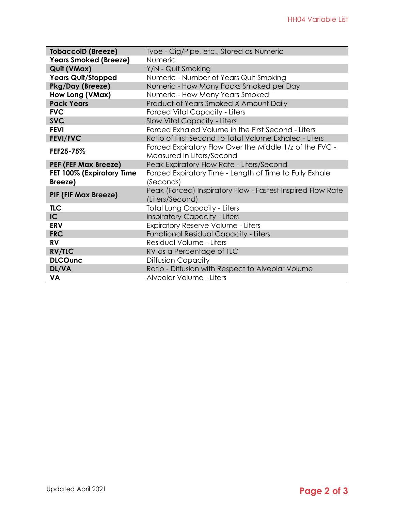| <b>TobaccolD (Breeze)</b>    | Type - Cig/Pipe, etc., Stored as Numeric                    |  |  |
|------------------------------|-------------------------------------------------------------|--|--|
| <b>Years Smoked (Breeze)</b> | <b>Numeric</b>                                              |  |  |
| Quit (VMax)                  | Y/N - Quit Smoking                                          |  |  |
| <b>Years Quit/Stopped</b>    | Numeric - Number of Years Quit Smoking                      |  |  |
| Pkg/Day (Breeze)             | Numeric - How Many Packs Smoked per Day                     |  |  |
| How Long (VMax)              | Numeric - How Many Years Smoked                             |  |  |
| <b>Pack Years</b>            | Product of Years Smoked X Amount Daily                      |  |  |
| <b>FVC</b>                   | <b>Forced Vital Capacity - Liters</b>                       |  |  |
| <b>SVC</b>                   | Slow Vital Capacity - Liters                                |  |  |
| <b>FEVI</b>                  | Forced Exhaled Volume in the First Second - Liters          |  |  |
| <b>FEVI/FVC</b>              | Ratio of First Second to Total Volume Exhaled - Liters      |  |  |
| FEF25-75%                    | Forced Expiratory Flow Over the Middle 1/z of the FVC -     |  |  |
|                              | Measured in Liters/Second                                   |  |  |
| <b>PEF (FEF Max Breeze)</b>  | Peak Expiratory Flow Rate - Liters/Second                   |  |  |
| FET 100% (Expiratory Time    | Forced Expiratory Time - Length of Time to Fully Exhale     |  |  |
| Breeze)                      | (Seconds)                                                   |  |  |
| <b>PIF (FIF Max Breeze)</b>  | Peak (Forced) Inspiratory Flow - Fastest Inspired Flow Rate |  |  |
|                              | (Liters/Second)                                             |  |  |
| <b>TLC</b>                   | <b>Total Lung Capacity - Liters</b>                         |  |  |
| IC                           | <b>Inspiratory Capacity - Liters</b>                        |  |  |
| <b>ERV</b>                   | <b>Expiratory Reserve Volume - Liters</b>                   |  |  |
| <b>FRC</b>                   | <b>Functional Residual Capacity - Liters</b>                |  |  |
| <b>RV</b>                    | Residual Volume - Liters                                    |  |  |
| <b>RV/TLC</b>                | RV as a Percentage of TLC                                   |  |  |
| <b>DLCOunc</b>               | <b>Diffusion Capacity</b>                                   |  |  |
| DL/VA                        | Ratio - Diffusion with Respect to Alveolar Volume           |  |  |
| VA                           | Alveolar Volume - Liters                                    |  |  |